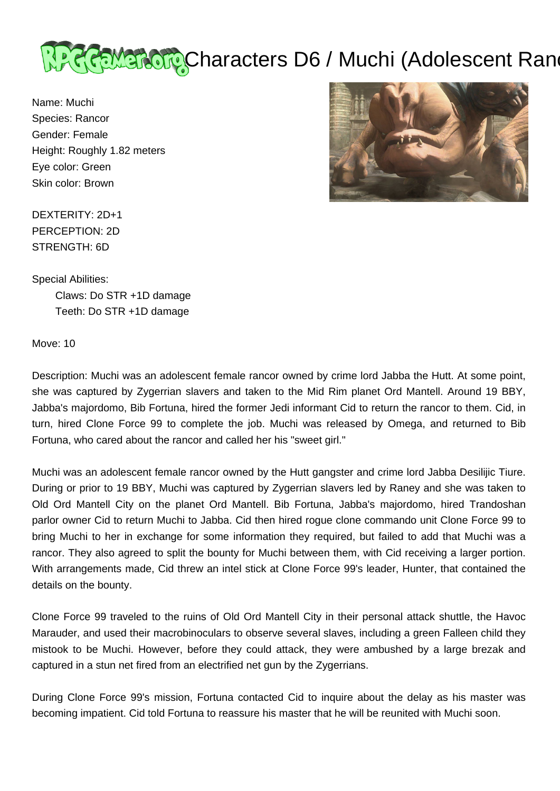

Name: Muchi Species: Rancor Gender: Female Height: Roughly 1.82 meters Eye color: Green Skin color: Brown



DEXTERITY: 2D+1 PERCEPTION: 2D STRENGTH: 6D

Special Abilities:

 Claws: Do STR +1D damage Teeth: Do STR +1D damage

Move: 10

Description: Muchi was an adolescent female rancor owned by crime lord Jabba the Hutt. At some point, she was captured by Zygerrian slavers and taken to the Mid Rim planet Ord Mantell. Around 19 BBY, Jabba's majordomo, Bib Fortuna, hired the former Jedi informant Cid to return the rancor to them. Cid, in turn, hired Clone Force 99 to complete the job. Muchi was released by Omega, and returned to Bib Fortuna, who cared about the rancor and called her his "sweet girl."

Muchi was an adolescent female rancor owned by the Hutt gangster and crime lord Jabba Desilijic Tiure. During or prior to 19 BBY, Muchi was captured by Zygerrian slavers led by Raney and she was taken to Old Ord Mantell City on the planet Ord Mantell. Bib Fortuna, Jabba's majordomo, hired Trandoshan parlor owner Cid to return Muchi to Jabba. Cid then hired rogue clone commando unit Clone Force 99 to bring Muchi to her in exchange for some information they required, but failed to add that Muchi was a rancor. They also agreed to split the bounty for Muchi between them, with Cid receiving a larger portion. With arrangements made, Cid threw an intel stick at Clone Force 99's leader, Hunter, that contained the details on the bounty.

Clone Force 99 traveled to the ruins of Old Ord Mantell City in their personal attack shuttle, the Havoc Marauder, and used their macrobinoculars to observe several slaves, including a green Falleen child they mistook to be Muchi. However, before they could attack, they were ambushed by a large brezak and captured in a stun net fired from an electrified net gun by the Zygerrians.

During Clone Force 99's mission, Fortuna contacted Cid to inquire about the delay as his master was becoming impatient. Cid told Fortuna to reassure his master that he will be reunited with Muchi soon.